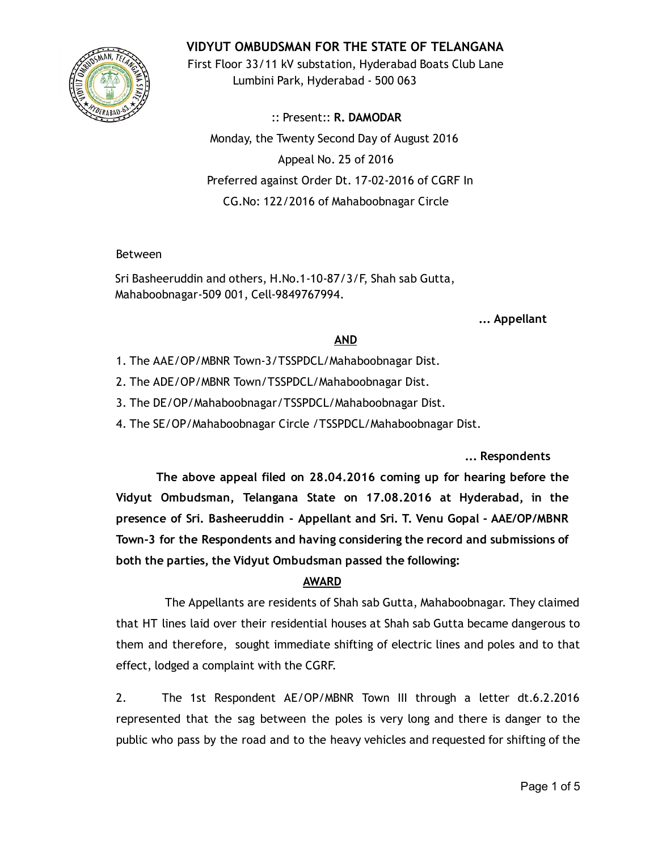

VIDYUT OMBUDSMAN FOR THE STATE OF TELANGANA

First Floor 33/11 kV substation, Hyderabad Boats Club Lane Lumbini Park, Hyderabad ‐ 500 063

:: Present:: R. DAMODAR Monday, the Twenty Second Day of August 2016 Appeal No. 25 of 2016 Preferred against Order Dt. 17‐02‐2016 of CGRF In CG.No: 122/2016 of Mahaboobnagar Circle

## Between

Sri Basheeruddin and others, H.No.1‐10‐87/3/F, Shah sab Gutta, Mahaboobnagar‐509 001, Cell‐9849767994.

... Appellant

## AND

- 1. The AAE/OP/MBNR Town‐3/TSSPDCL/Mahaboobnagar Dist.
- 2. The ADE/OP/MBNR Town/TSSPDCL/Mahaboobnagar Dist.
- 3. The DE/OP/Mahaboobnagar/TSSPDCL/Mahaboobnagar Dist.
- 4. The SE/OP/Mahaboobnagar Circle /TSSPDCL/Mahaboobnagar Dist.

... Respondents

The above appeal filed on 28.04.2016 coming up for hearing before the Vidyut Ombudsman, Telangana State on 17.08.2016 at Hyderabad, in the presence of Sri. Basheeruddin ‐ Appellant and Sri. T. Venu Gopal ‐ AAE/OP/MBNR Town‐3 for the Respondents and having considering the record and submissions of both the parties, the Vidyut Ombudsman passed the following:

# AWARD

The Appellants are residents of Shah sab Gutta, Mahaboobnagar. They claimed that HT lines laid over their residential houses at Shah sab Gutta became dangerous to them and therefore, sought immediate shifting of electric lines and poles and to that effect, lodged a complaint with the CGRF.

2. The 1st Respondent AE/OP/MBNR Town III through a letter dt.6.2.2016 represented that the sag between the poles is very long and there is danger to the public who pass by the road and to the heavy vehicles and requested for shifting of the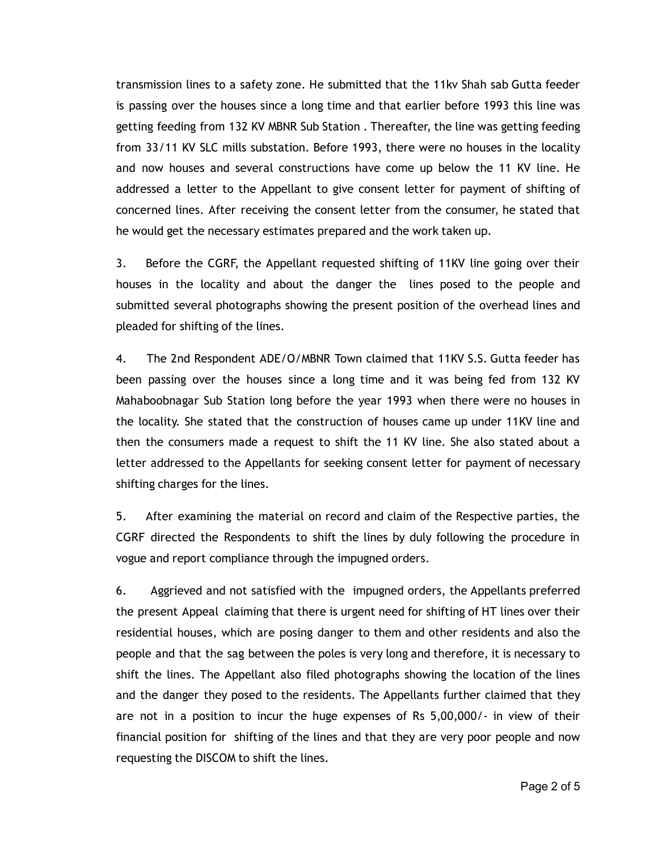transmission lines to a safety zone. He submitted that the 11kv Shah sab Gutta feeder is passing over the houses since a long time and that earlier before 1993 this line was getting feeding from 132 KV MBNR Sub Station . Thereafter, the line was getting feeding from 33/11 KV SLC mills substation. Before 1993, there were no houses in the locality and now houses and several constructions have come up below the 11 KV line. He addressed a letter to the Appellant to give consent letter for payment of shifting of concerned lines. After receiving the consent letter from the consumer, he stated that he would get the necessary estimates prepared and the work taken up.

3. Before the CGRF, the Appellant requested shifting of 11KV line going over their houses in the locality and about the danger the lines posed to the people and submitted several photographs showing the present position of the overhead lines and pleaded for shifting of the lines.

4. The 2nd Respondent ADE/O/MBNR Town claimed that 11KV S.S. Gutta feeder has been passing over the houses since a long time and it was being fed from 132 KV Mahaboobnagar Sub Station long before the year 1993 when there were no houses in the locality. She stated that the construction of houses came up under 11KV line and then the consumers made a request to shift the 11 KV line. She also stated about a letter addressed to the Appellants for seeking consent letter for payment of necessary shifting charges for the lines.

5. After examining the material on record and claim of the Respective parties, the CGRF directed the Respondents to shift the lines by duly following the procedure in vogue and report compliance through the impugned orders.

6. Aggrieved and not satisfied with the impugned orders, the Appellants preferred the present Appeal claiming that there is urgent need for shifting of HT lines over their residential houses, which are posing danger to them and other residents and also the people and that the sag between the poles is very long and therefore, it is necessary to shift the lines. The Appellant also filed photographs showing the location of the lines and the danger they posed to the residents. The Appellants further claimed that they are not in a position to incur the huge expenses of Rs 5,00,000/‐ in view of their financial position for shifting of the lines and that they are very poor people and now requesting the DISCOM to shift the lines.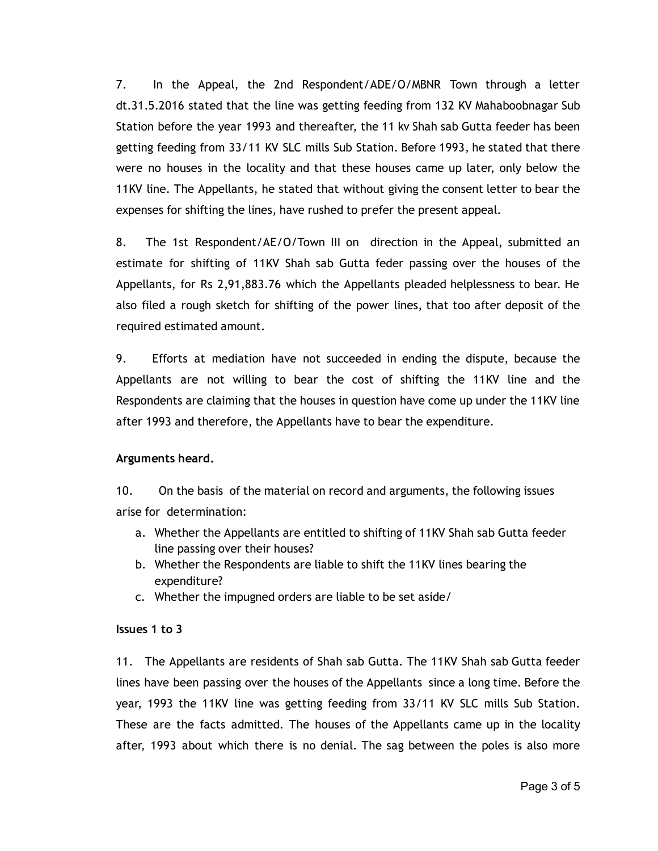7. In the Appeal, the 2nd Respondent/ADE/O/MBNR Town through a letter dt.31.5.2016 stated that the line was getting feeding from 132 KV Mahaboobnagar Sub Station before the year 1993 and thereafter, the 11 kv Shah sab Gutta feeder has been getting feeding from 33/11 KV SLC mills Sub Station. Before 1993, he stated that there were no houses in the locality and that these houses came up later, only below the 11KV line. The Appellants, he stated that without giving the consent letter to bear the expenses for shifting the lines, have rushed to prefer the present appeal.

8. The 1st Respondent/AE/O/Town III on direction in the Appeal, submitted an estimate for shifting of 11KV Shah sab Gutta feder passing over the houses of the Appellants, for Rs 2,91,883.76 which the Appellants pleaded helplessness to bear. He also filed a rough sketch for shifting of the power lines, that too after deposit of the required estimated amount.

9. Efforts at mediation have not succeeded in ending the dispute, because the Appellants are not willing to bear the cost of shifting the 11KV line and the Respondents are claiming that the houses in question have come up under the 11KV line after 1993 and therefore, the Appellants have to bear the expenditure.

# Arguments heard.

10. On the basis of the material on record and arguments, the following issues arise for determination:

- a. Whether the Appellants are entitled to shifting of 11KV Shah sab Gutta feeder line passing over their houses?
- b. Whether the Respondents are liable to shift the 11KV lines bearing the expenditure?
- c. Whether the impugned orders are liable to be set aside/

## Issues 1 to 3

11. The Appellants are residents of Shah sab Gutta. The 11KV Shah sab Gutta feeder lines have been passing over the houses of the Appellants since a long time. Before the year, 1993 the 11KV line was getting feeding from 33/11 KV SLC mills Sub Station. These are the facts admitted. The houses of the Appellants came up in the locality after, 1993 about which there is no denial. The sag between the poles is also more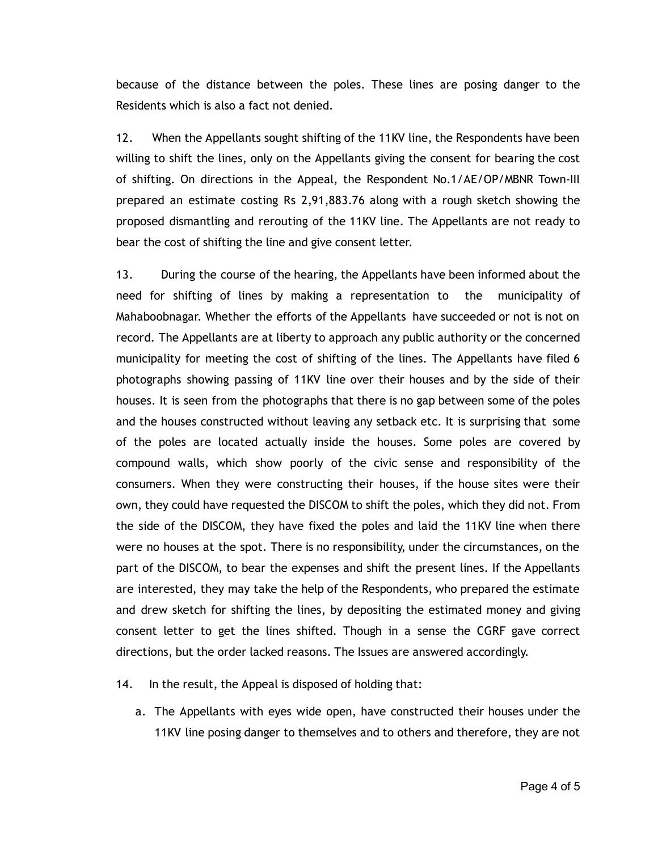because of the distance between the poles. These lines are posing danger to the Residents which is also a fact not denied.

12. When the Appellants sought shifting of the 11KV line, the Respondents have been willing to shift the lines, only on the Appellants giving the consent for bearing the cost of shifting. On directions in the Appeal, the Respondent No.1/AE/OP/MBNR Town‐III prepared an estimate costing Rs 2,91,883.76 along with a rough sketch showing the proposed dismantling and rerouting of the 11KV line. The Appellants are not ready to bear the cost of shifting the line and give consent letter.

13. During the course of the hearing, the Appellants have been informed about the need for shifting of lines by making a representation to the municipality of Mahaboobnagar. Whether the efforts of the Appellants have succeeded or not is not on record. The Appellants are at liberty to approach any public authority or the concerned municipality for meeting the cost of shifting of the lines. The Appellants have filed 6 photographs showing passing of 11KV line over their houses and by the side of their houses. It is seen from the photographs that there is no gap between some of the poles and the houses constructed without leaving any setback etc. It is surprising that some of the poles are located actually inside the houses. Some poles are covered by compound walls, which show poorly of the civic sense and responsibility of the consumers. When they were constructing their houses, if the house sites were their own, they could have requested the DISCOM to shift the poles, which they did not. From the side of the DISCOM, they have fixed the poles and laid the 11KV line when there were no houses at the spot. There is no responsibility, under the circumstances, on the part of the DISCOM, to bear the expenses and shift the present lines. If the Appellants are interested, they may take the help of the Respondents, who prepared the estimate and drew sketch for shifting the lines, by depositing the estimated money and giving consent letter to get the lines shifted. Though in a sense the CGRF gave correct directions, but the order lacked reasons. The Issues are answered accordingly.

## 14. In the result, the Appeal is disposed of holding that:

a. The Appellants with eyes wide open, have constructed their houses under the 11KV line posing danger to themselves and to others and therefore, they are not